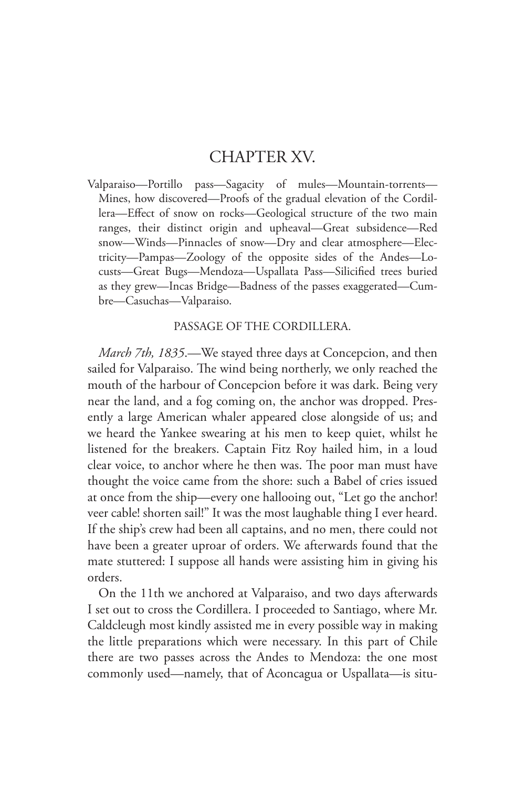## CHAPTER XV.

Valparaiso—Portillo pass—Sagacity of mules—Mountain-torrents— Mines, how discovered—Proofs of the gradual elevation of the Cordillera—Effect of snow on rocks—Geological structure of the two main ranges, their distinct origin and upheaval—Great subsidence—Red snow—Winds—Pinnacles of snow—Dry and clear atmosphere—Electricity—Pampas—Zoology of the opposite sides of the Andes—Locusts—Great Bugs—Mendoza—Uspallata Pass—Silicified trees buried as they grew—Incas Bridge—Badness of the passes exaggerated—Cumbre—Casuchas—Valparaiso.

## PASSAGE OF THE CORDILLERA.

*March 7th, 1835*.—We stayed three days at Concepcion, and then sailed for Valparaiso. The wind being northerly, we only reached the mouth of the harbour of Concepcion before it was dark. Being very near the land, and a fog coming on, the anchor was dropped. Presently a large American whaler appeared close alongside of us; and we heard the Yankee swearing at his men to keep quiet, whilst he listened for the breakers. Captain Fitz Roy hailed him, in a loud clear voice, to anchor where he then was. The poor man must have thought the voice came from the shore: such a Babel of cries issued at once from the ship—every one hallooing out, "Let go the anchor! veer cable! shorten sail!" It was the most laughable thing I ever heard. If the ship's crew had been all captains, and no men, there could not have been a greater uproar of orders. We afterwards found that the mate stuttered: I suppose all hands were assisting him in giving his orders.

On the 11th we anchored at Valparaiso, and two days afterwards I set out to cross the Cordillera. I proceeded to Santiago, where Mr. Caldcleugh most kindly assisted me in every possible way in making the little preparations which were necessary. In this part of Chile there are two passes across the Andes to Mendoza: the one most commonly used—namely, that of Aconcagua or Uspallata—is situ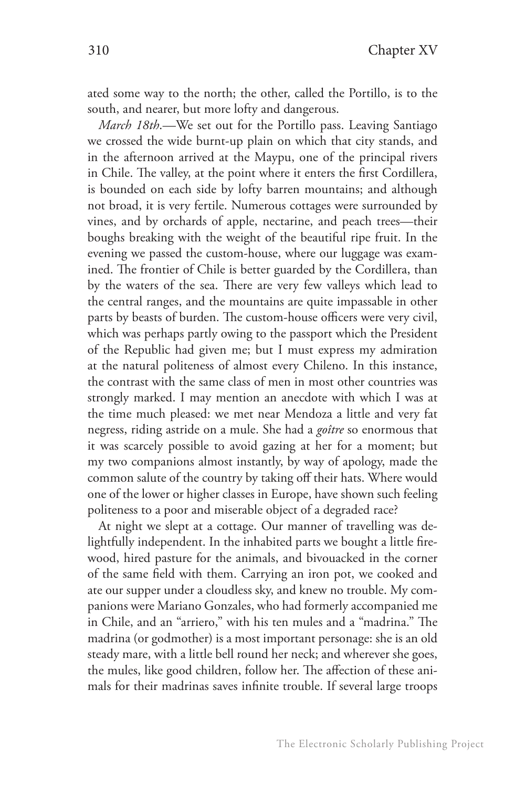ated some way to the north; the other, called the Portillo, is to the south, and nearer, but more lofty and dangerous.

*March 18th*.—We set out for the Portillo pass. Leaving Santiago we crossed the wide burnt-up plain on which that city stands, and in the afternoon arrived at the Maypu, one of the principal rivers in Chile. The valley, at the point where it enters the first Cordillera, is bounded on each side by lofty barren mountains; and although not broad, it is very fertile. Numerous cottages were surrounded by vines, and by orchards of apple, nectarine, and peach trees—their boughs breaking with the weight of the beautiful ripe fruit. In the evening we passed the custom-house, where our luggage was examined. The frontier of Chile is better guarded by the Cordillera, than by the waters of the sea. There are very few valleys which lead to the central ranges, and the mountains are quite impassable in other parts by beasts of burden. The custom-house officers were very civil, which was perhaps partly owing to the passport which the President of the Republic had given me; but I must express my admiration at the natural politeness of almost every Chileno. In this instance, the contrast with the same class of men in most other countries was strongly marked. I may mention an anecdote with which I was at the time much pleased: we met near Mendoza a little and very fat negress, riding astride on a mule. She had a *goître* so enormous that it was scarcely possible to avoid gazing at her for a moment; but my two companions almost instantly, by way of apology, made the common salute of the country by taking off their hats. Where would one of the lower or higher classes in Europe, have shown such feeling politeness to a poor and miserable object of a degraded race?

At night we slept at a cottage. Our manner of travelling was delightfully independent. In the inhabited parts we bought a little firewood, hired pasture for the animals, and bivouacked in the corner of the same field with them. Carrying an iron pot, we cooked and ate our supper under a cloudless sky, and knew no trouble. My companions were Mariano Gonzales, who had formerly accompanied me in Chile, and an "arriero," with his ten mules and a "madrina." The madrina (or godmother) is a most important personage: she is an old steady mare, with a little bell round her neck; and wherever she goes, the mules, like good children, follow her. The affection of these animals for their madrinas saves infinite trouble. If several large troops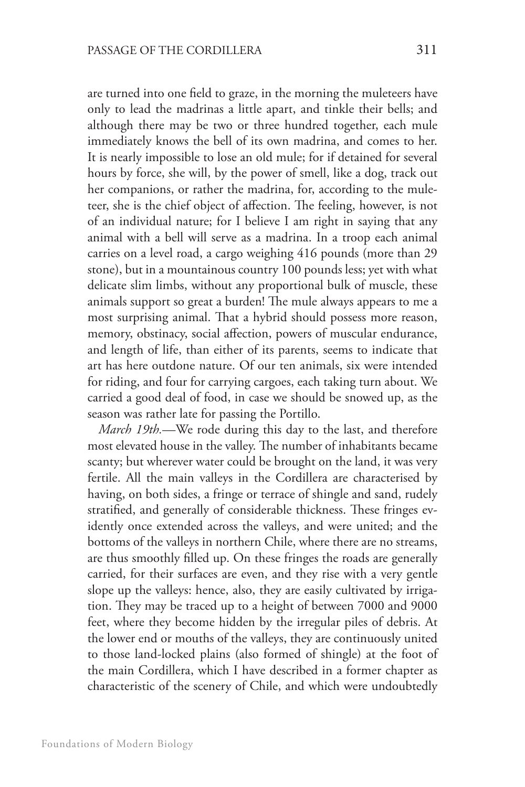are turned into one field to graze, in the morning the muleteers have only to lead the madrinas a little apart, and tinkle their bells; and although there may be two or three hundred together, each mule immediately knows the bell of its own madrina, and comes to her. It is nearly impossible to lose an old mule; for if detained for several hours by force, she will, by the power of smell, like a dog, track out her companions, or rather the madrina, for, according to the muleteer, she is the chief object of affection. The feeling, however, is not of an individual nature; for I believe I am right in saying that any animal with a bell will serve as a madrina. In a troop each animal carries on a level road, a cargo weighing 416 pounds (more than 29 stone), but in a mountainous country 100 pounds less; yet with what delicate slim limbs, without any proportional bulk of muscle, these animals support so great a burden! The mule always appears to me a most surprising animal. That a hybrid should possess more reason, memory, obstinacy, social affection, powers of muscular endurance, and length of life, than either of its parents, seems to indicate that art has here outdone nature. Of our ten animals, six were intended for riding, and four for carrying cargoes, each taking turn about. We carried a good deal of food, in case we should be snowed up, as the season was rather late for passing the Portillo.

*March 19th.*—We rode during this day to the last, and therefore most elevated house in the valley. The number of inhabitants became scanty; but wherever water could be brought on the land, it was very fertile. All the main valleys in the Cordillera are characterised by having, on both sides, a fringe or terrace of shingle and sand, rudely stratified, and generally of considerable thickness. These fringes evidently once extended across the valleys, and were united; and the bottoms of the valleys in northern Chile, where there are no streams, are thus smoothly filled up. On these fringes the roads are generally carried, for their surfaces are even, and they rise with a very gentle slope up the valleys: hence, also, they are easily cultivated by irrigation. They may be traced up to a height of between 7000 and 9000 feet, where they become hidden by the irregular piles of debris. At the lower end or mouths of the valleys, they are continuously united to those land-locked plains (also formed of shingle) at the foot of the main Cordillera, which I have described in a former chapter as characteristic of the scenery of Chile, and which were undoubtedly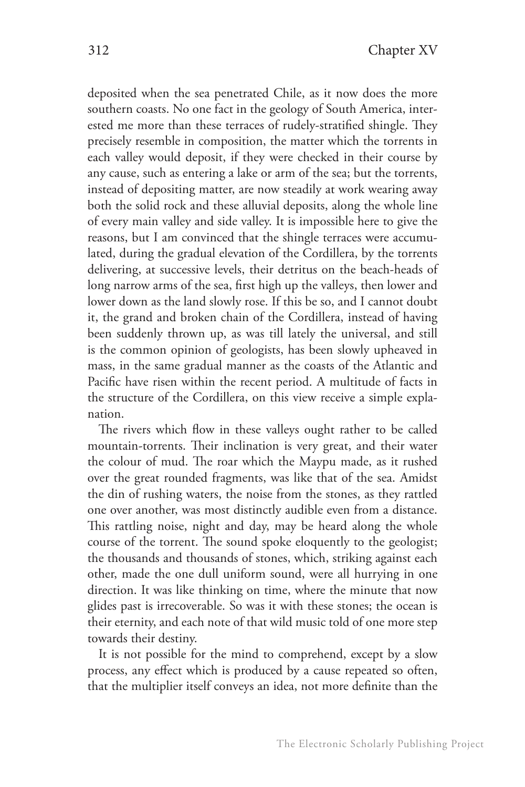deposited when the sea penetrated Chile, as it now does the more southern coasts. No one fact in the geology of South America, interested me more than these terraces of rudely-stratified shingle. They precisely resemble in composition, the matter which the torrents in each valley would deposit, if they were checked in their course by any cause, such as entering a lake or arm of the sea; but the torrents, instead of depositing matter, are now steadily at work wearing away both the solid rock and these alluvial deposits, along the whole line of every main valley and side valley. It is impossible here to give the reasons, but I am convinced that the shingle terraces were accumulated, during the gradual elevation of the Cordillera, by the torrents delivering, at successive levels, their detritus on the beach-heads of long narrow arms of the sea, first high up the valleys, then lower and lower down as the land slowly rose. If this be so, and I cannot doubt it, the grand and broken chain of the Cordillera, instead of having been suddenly thrown up, as was till lately the universal, and still is the common opinion of geologists, has been slowly upheaved in mass, in the same gradual manner as the coasts of the Atlantic and Pacific have risen within the recent period. A multitude of facts in the structure of the Cordillera, on this view receive a simple explanation.

The rivers which flow in these valleys ought rather to be called mountain-torrents. Their inclination is very great, and their water the colour of mud. The roar which the Maypu made, as it rushed over the great rounded fragments, was like that of the sea. Amidst the din of rushing waters, the noise from the stones, as they rattled one over another, was most distinctly audible even from a distance. This rattling noise, night and day, may be heard along the whole course of the torrent. The sound spoke eloquently to the geologist; the thousands and thousands of stones, which, striking against each other, made the one dull uniform sound, were all hurrying in one direction. It was like thinking on time, where the minute that now glides past is irrecoverable. So was it with these stones; the ocean is their eternity, and each note of that wild music told of one more step towards their destiny.

It is not possible for the mind to comprehend, except by a slow process, any effect which is produced by a cause repeated so often, that the multiplier itself conveys an idea, not more definite than the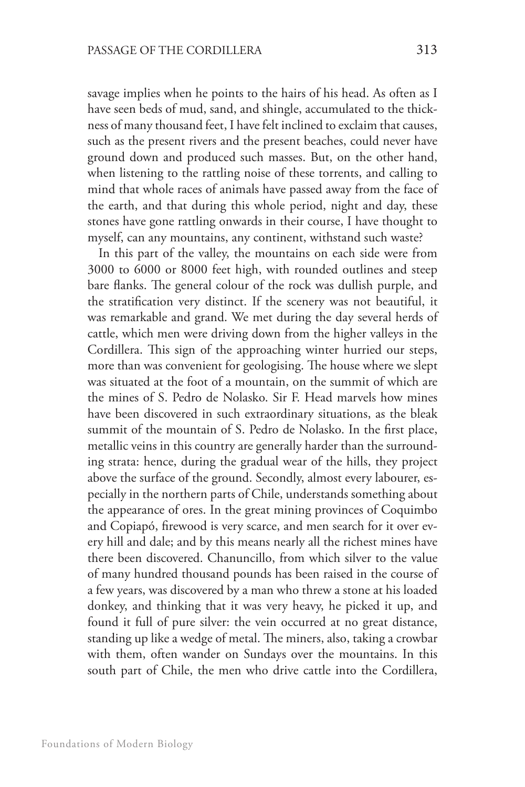savage implies when he points to the hairs of his head. As often as I have seen beds of mud, sand, and shingle, accumulated to the thickness of many thousand feet, I have felt inclined to exclaim that causes, such as the present rivers and the present beaches, could never have ground down and produced such masses. But, on the other hand, when listening to the rattling noise of these torrents, and calling to mind that whole races of animals have passed away from the face of the earth, and that during this whole period, night and day, these stones have gone rattling onwards in their course, I have thought to myself, can any mountains, any continent, withstand such waste?

In this part of the valley, the mountains on each side were from 3000 to 6000 or 8000 feet high, with rounded outlines and steep bare flanks. The general colour of the rock was dullish purple, and the stratification very distinct. If the scenery was not beautiful, it was remarkable and grand. We met during the day several herds of cattle, which men were driving down from the higher valleys in the Cordillera. This sign of the approaching winter hurried our steps, more than was convenient for geologising. The house where we slept was situated at the foot of a mountain, on the summit of which are the mines of S. Pedro de Nolasko. Sir F. Head marvels how mines have been discovered in such extraordinary situations, as the bleak summit of the mountain of S. Pedro de Nolasko. In the first place, metallic veins in this country are generally harder than the surrounding strata: hence, during the gradual wear of the hills, they project above the surface of the ground. Secondly, almost every labourer, especially in the northern parts of Chile, understands something about the appearance of ores. In the great mining provinces of Coquimbo and Copiapó, firewood is very scarce, and men search for it over every hill and dale; and by this means nearly all the richest mines have there been discovered. Chanuncillo, from which silver to the value of many hundred thousand pounds has been raised in the course of a few years, was discovered by a man who threw a stone at his loaded donkey, and thinking that it was very heavy, he picked it up, and found it full of pure silver: the vein occurred at no great distance, standing up like a wedge of metal. The miners, also, taking a crowbar with them, often wander on Sundays over the mountains. In this south part of Chile, the men who drive cattle into the Cordillera,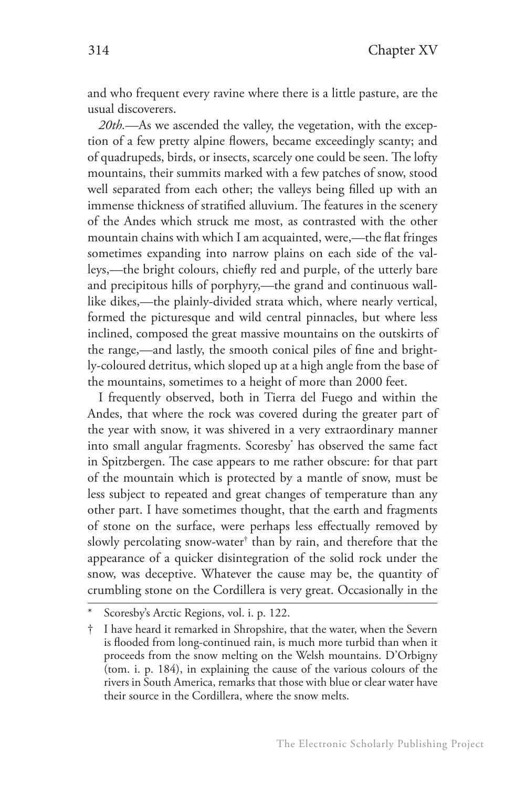and who frequent every ravine where there is a little pasture, are the usual discoverers.

*20th.*—As we ascended the valley, the vegetation, with the exception of a few pretty alpine flowers, became exceedingly scanty; and of quadrupeds, birds, or insects, scarcely one could be seen. The lofty mountains, their summits marked with a few patches of snow, stood well separated from each other; the valleys being filled up with an immense thickness of stratified alluvium. The features in the scenery of the Andes which struck me most, as contrasted with the other mountain chains with which I am acquainted, were,—the flat fringes sometimes expanding into narrow plains on each side of the valleys,—the bright colours, chiefly red and purple, of the utterly bare and precipitous hills of porphyry,—the grand and continuous walllike dikes,—the plainly-divided strata which, where nearly vertical, formed the picturesque and wild central pinnacles, but where less inclined, composed the great massive mountains on the outskirts of the range,—and lastly, the smooth conical piles of fine and brightly-coloured detritus, which sloped up at a high angle from the base of the mountains, sometimes to a height of more than 2000 feet.

I frequently observed, both in Tierra del Fuego and within the Andes, that where the rock was covered during the greater part of the year with snow, it was shivered in a very extraordinary manner into small angular fragments. Scoresby\* has observed the same fact in Spitzbergen. The case appears to me rather obscure: for that part of the mountain which is protected by a mantle of snow, must be less subject to repeated and great changes of temperature than any other part. I have sometimes thought, that the earth and fragments of stone on the surface, were perhaps less effectually removed by slowly percolating snow-water† than by rain, and therefore that the appearance of a quicker disintegration of the solid rock under the snow, was deceptive. Whatever the cause may be, the quantity of crumbling stone on the Cordillera is very great. Occasionally in the

Scoresby's Arctic Regions, vol. i. p. 122.

<sup>†</sup> I have heard it remarked in Shropshire, that the water, when the Severn is flooded from long-continued rain, is much more turbid than when it proceeds from the snow melting on the Welsh mountains. D'Orbigny (tom. i. p. 184), in explaining the cause of the various colours of the rivers in South America, remarks that those with blue or clear water have their source in the Cordillera, where the snow melts.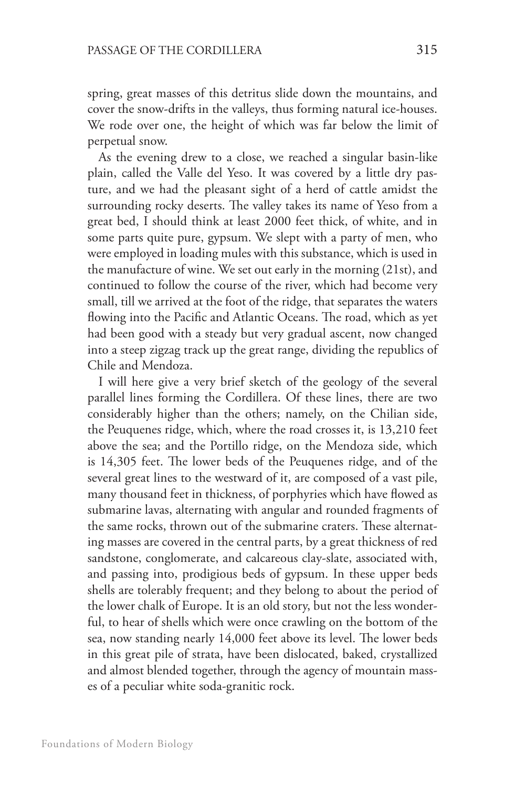spring, great masses of this detritus slide down the mountains, and cover the snow-drifts in the valleys, thus forming natural ice-houses. We rode over one, the height of which was far below the limit of perpetual snow.

As the evening drew to a close, we reached a singular basin-like plain, called the Valle del Yeso. It was covered by a little dry pasture, and we had the pleasant sight of a herd of cattle amidst the surrounding rocky deserts. The valley takes its name of Yeso from a great bed, I should think at least 2000 feet thick, of white, and in some parts quite pure, gypsum. We slept with a party of men, who were employed in loading mules with this substance, which is used in the manufacture of wine. We set out early in the morning (21st), and continued to follow the course of the river, which had become very small, till we arrived at the foot of the ridge, that separates the waters flowing into the Pacific and Atlantic Oceans. The road, which as yet had been good with a steady but very gradual ascent, now changed into a steep zigzag track up the great range, dividing the republics of Chile and Mendoza.

I will here give a very brief sketch of the geology of the several parallel lines forming the Cordillera. Of these lines, there are two considerably higher than the others; namely, on the Chilian side, the Peuquenes ridge, which, where the road crosses it, is 13,210 feet above the sea; and the Portillo ridge, on the Mendoza side, which is 14,305 feet. The lower beds of the Peuquenes ridge, and of the several great lines to the westward of it, are composed of a vast pile, many thousand feet in thickness, of porphyries which have flowed as submarine lavas, alternating with angular and rounded fragments of the same rocks, thrown out of the submarine craters. These alternating masses are covered in the central parts, by a great thickness of red sandstone, conglomerate, and calcareous clay-slate, associated with, and passing into, prodigious beds of gypsum. In these upper beds shells are tolerably frequent; and they belong to about the period of the lower chalk of Europe. It is an old story, but not the less wonderful, to hear of shells which were once crawling on the bottom of the sea, now standing nearly 14,000 feet above its level. The lower beds in this great pile of strata, have been dislocated, baked, crystallized and almost blended together, through the agency of mountain masses of a peculiar white soda-granitic rock.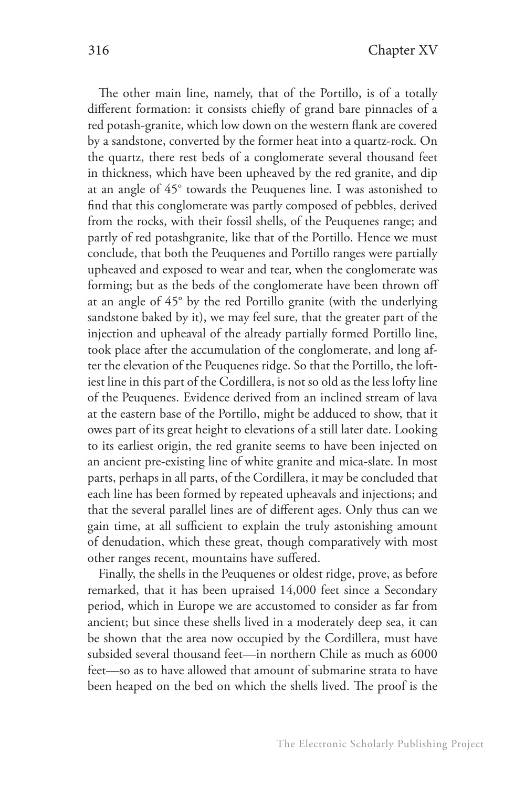The other main line, namely, that of the Portillo, is of a totally different formation: it consists chiefly of grand bare pinnacles of a red potash-granite, which low down on the western flank are covered by a sandstone, converted by the former heat into a quartz-rock. On the quartz, there rest beds of a conglomerate several thousand feet in thickness, which have been upheaved by the red granite, and dip at an angle of 45° towards the Peuquenes line. I was astonished to find that this conglomerate was partly composed of pebbles, derived from the rocks, with their fossil shells, of the Peuquenes range; and partly of red potashgranite, like that of the Portillo. Hence we must conclude, that both the Peuquenes and Portillo ranges were partially upheaved and exposed to wear and tear, when the conglomerate was forming; but as the beds of the conglomerate have been thrown off at an angle of 45° by the red Portillo granite (with the underlying sandstone baked by it), we may feel sure, that the greater part of the injection and upheaval of the already partially formed Portillo line, took place after the accumulation of the conglomerate, and long after the elevation of the Peuquenes ridge. So that the Portillo, the loftiest line in this part of the Cordillera, is not so old as the less lofty line of the Peuquenes. Evidence derived from an inclined stream of lava at the eastern base of the Portillo, might be adduced to show, that it owes part of its great height to elevations of a still later date. Looking to its earliest origin, the red granite seems to have been injected on an ancient pre-existing line of white granite and mica-slate. In most parts, perhaps in all parts, of the Cordillera, it may be concluded that each line has been formed by repeated upheavals and injections; and that the several parallel lines are of different ages. Only thus can we gain time, at all sufficient to explain the truly astonishing amount of denudation, which these great, though comparatively with most other ranges recent, mountains have suffered.

Finally, the shells in the Peuquenes or oldest ridge, prove, as before remarked, that it has been upraised 14,000 feet since a Secondary period, which in Europe we are accustomed to consider as far from ancient; but since these shells lived in a moderately deep sea, it can be shown that the area now occupied by the Cordillera, must have subsided several thousand feet—in northern Chile as much as 6000 feet—so as to have allowed that amount of submarine strata to have been heaped on the bed on which the shells lived. The proof is the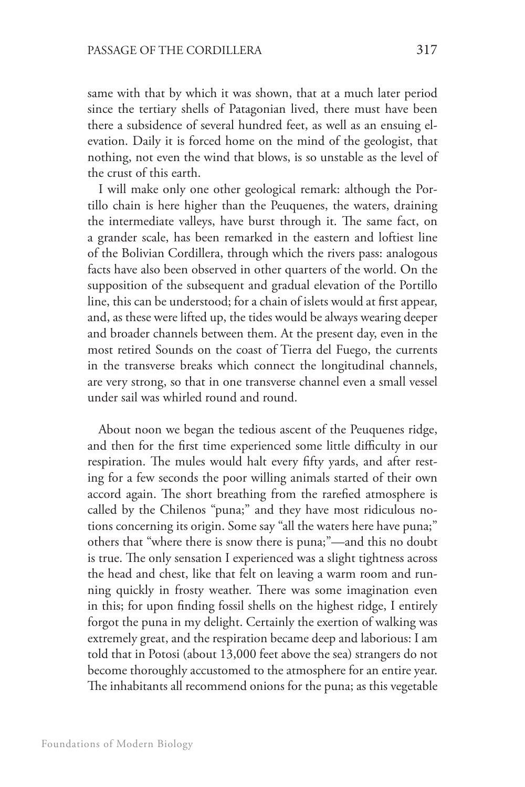same with that by which it was shown, that at a much later period since the tertiary shells of Patagonian lived, there must have been there a subsidence of several hundred feet, as well as an ensuing elevation. Daily it is forced home on the mind of the geologist, that nothing, not even the wind that blows, is so unstable as the level of the crust of this earth.

I will make only one other geological remark: although the Portillo chain is here higher than the Peuquenes, the waters, draining the intermediate valleys, have burst through it. The same fact, on a grander scale, has been remarked in the eastern and loftiest line of the Bolivian Cordillera, through which the rivers pass: analogous facts have also been observed in other quarters of the world. On the supposition of the subsequent and gradual elevation of the Portillo line, this can be understood; for a chain of islets would at first appear, and, as these were lifted up, the tides would be always wearing deeper and broader channels between them. At the present day, even in the most retired Sounds on the coast of Tierra del Fuego, the currents in the transverse breaks which connect the longitudinal channels, are very strong, so that in one transverse channel even a small vessel under sail was whirled round and round.

About noon we began the tedious ascent of the Peuquenes ridge, and then for the first time experienced some little difficulty in our respiration. The mules would halt every fifty yards, and after resting for a few seconds the poor willing animals started of their own accord again. The short breathing from the rarefied atmosphere is called by the Chilenos "puna;" and they have most ridiculous notions concerning its origin. Some say "all the waters here have puna;" others that "where there is snow there is puna;"—and this no doubt is true. The only sensation I experienced was a slight tightness across the head and chest, like that felt on leaving a warm room and running quickly in frosty weather. There was some imagination even in this; for upon finding fossil shells on the highest ridge, I entirely forgot the puna in my delight. Certainly the exertion of walking was extremely great, and the respiration became deep and laborious: I am told that in Potosi (about 13,000 feet above the sea) strangers do not become thoroughly accustomed to the atmosphere for an entire year. The inhabitants all recommend onions for the puna; as this vegetable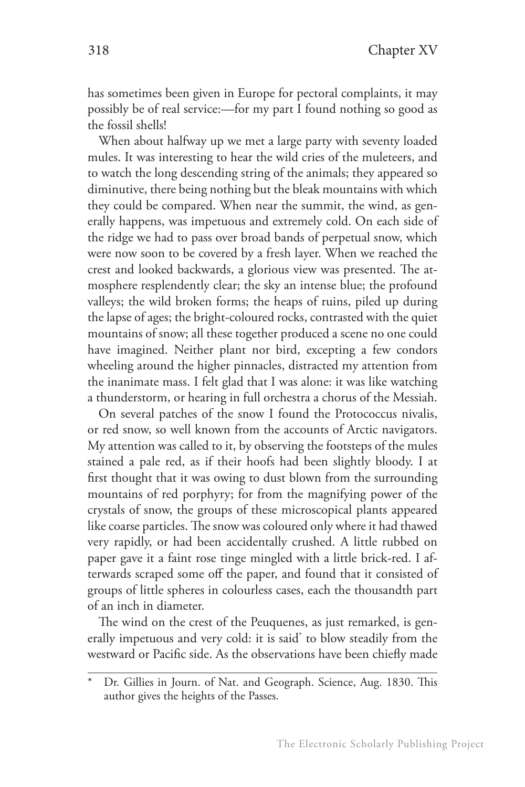has sometimes been given in Europe for pectoral complaints, it may possibly be of real service:—for my part I found nothing so good as the fossil shells!

When about halfway up we met a large party with seventy loaded mules. It was interesting to hear the wild cries of the muleteers, and to watch the long descending string of the animals; they appeared so diminutive, there being nothing but the bleak mountains with which they could be compared. When near the summit, the wind, as generally happens, was impetuous and extremely cold. On each side of the ridge we had to pass over broad bands of perpetual snow, which were now soon to be covered by a fresh layer. When we reached the crest and looked backwards, a glorious view was presented. The atmosphere resplendently clear; the sky an intense blue; the profound valleys; the wild broken forms; the heaps of ruins, piled up during the lapse of ages; the bright-coloured rocks, contrasted with the quiet mountains of snow; all these together produced a scene no one could have imagined. Neither plant nor bird, excepting a few condors wheeling around the higher pinnacles, distracted my attention from the inanimate mass. I felt glad that I was alone: it was like watching a thunderstorm, or hearing in full orchestra a chorus of the Messiah.

On several patches of the snow I found the Protococcus nivalis, or red snow, so well known from the accounts of Arctic navigators. My attention was called to it, by observing the footsteps of the mules stained a pale red, as if their hoofs had been slightly bloody. I at first thought that it was owing to dust blown from the surrounding mountains of red porphyry; for from the magnifying power of the crystals of snow, the groups of these microscopical plants appeared like coarse particles. The snow was coloured only where it had thawed very rapidly, or had been accidentally crushed. A little rubbed on paper gave it a faint rose tinge mingled with a little brick-red. I afterwards scraped some off the paper, and found that it consisted of groups of little spheres in colourless cases, each the thousandth part of an inch in diameter.

The wind on the crest of the Peuquenes, as just remarked, is generally impetuous and very cold: it is said\* to blow steadily from the westward or Pacific side. As the observations have been chiefly made

Dr. Gillies in Journ. of Nat. and Geograph. Science, Aug. 1830. This author gives the heights of the Passes.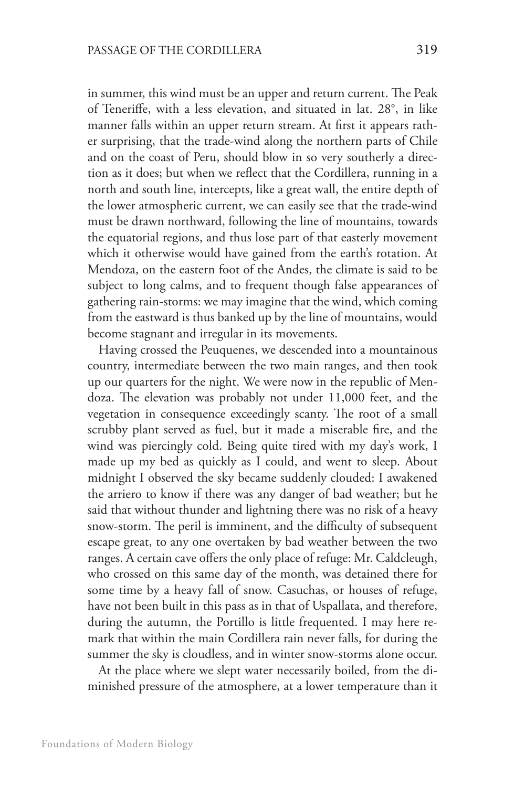in summer, this wind must be an upper and return current. The Peak of Teneriffe, with a less elevation, and situated in lat. 28°, in like manner falls within an upper return stream. At first it appears rather surprising, that the trade-wind along the northern parts of Chile and on the coast of Peru, should blow in so very southerly a direction as it does; but when we reflect that the Cordillera, running in a north and south line, intercepts, like a great wall, the entire depth of the lower atmospheric current, we can easily see that the trade-wind must be drawn northward, following the line of mountains, towards the equatorial regions, and thus lose part of that easterly movement which it otherwise would have gained from the earth's rotation. At Mendoza, on the eastern foot of the Andes, the climate is said to be subject to long calms, and to frequent though false appearances of gathering rain-storms: we may imagine that the wind, which coming from the eastward is thus banked up by the line of mountains, would become stagnant and irregular in its movements.

Having crossed the Peuquenes, we descended into a mountainous country, intermediate between the two main ranges, and then took up our quarters for the night. We were now in the republic of Mendoza. The elevation was probably not under 11,000 feet, and the vegetation in consequence exceedingly scanty. The root of a small scrubby plant served as fuel, but it made a miserable fire, and the wind was piercingly cold. Being quite tired with my day's work, I made up my bed as quickly as I could, and went to sleep. About midnight I observed the sky became suddenly clouded: I awakened the arriero to know if there was any danger of bad weather; but he said that without thunder and lightning there was no risk of a heavy snow-storm. The peril is imminent, and the difficulty of subsequent escape great, to any one overtaken by bad weather between the two ranges. A certain cave offers the only place of refuge: Mr. Caldcleugh, who crossed on this same day of the month, was detained there for some time by a heavy fall of snow. Casuchas, or houses of refuge, have not been built in this pass as in that of Uspallata, and therefore, during the autumn, the Portillo is little frequented. I may here remark that within the main Cordillera rain never falls, for during the summer the sky is cloudless, and in winter snow-storms alone occur.

At the place where we slept water necessarily boiled, from the diminished pressure of the atmosphere, at a lower temperature than it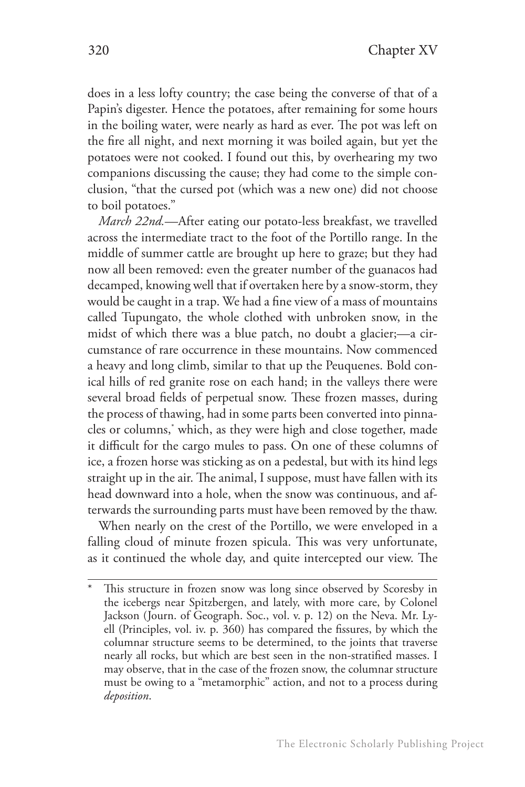does in a less lofty country; the case being the converse of that of a Papin's digester. Hence the potatoes, after remaining for some hours in the boiling water, were nearly as hard as ever. The pot was left on the fire all night, and next morning it was boiled again, but yet the potatoes were not cooked. I found out this, by overhearing my two companions discussing the cause; they had come to the simple conclusion, "that the cursed pot (which was a new one) did not choose to boil potatoes."

*March 22nd.*—After eating our potato-less breakfast, we travelled across the intermediate tract to the foot of the Portillo range. In the middle of summer cattle are brought up here to graze; but they had now all been removed: even the greater number of the guanacos had decamped, knowing well that if overtaken here by a snow-storm, they would be caught in a trap. We had a fine view of a mass of mountains called Tupungato, the whole clothed with unbroken snow, in the midst of which there was a blue patch, no doubt a glacier;—a circumstance of rare occurrence in these mountains. Now commenced a heavy and long climb, similar to that up the Peuquenes. Bold conical hills of red granite rose on each hand; in the valleys there were several broad fields of perpetual snow. These frozen masses, during the process of thawing, had in some parts been converted into pinnacles or columns,\* which, as they were high and close together, made it difficult for the cargo mules to pass. On one of these columns of ice, a frozen horse was sticking as on a pedestal, but with its hind legs straight up in the air. The animal, I suppose, must have fallen with its head downward into a hole, when the snow was continuous, and afterwards the surrounding parts must have been removed by the thaw.

When nearly on the crest of the Portillo, we were enveloped in a falling cloud of minute frozen spicula. This was very unfortunate, as it continued the whole day, and quite intercepted our view. The

This structure in frozen snow was long since observed by Scoresby in the icebergs near Spitzbergen, and lately, with more care, by Colonel Jackson (Journ. of Geograph. Soc., vol. v. p. 12) on the Neva. Mr. Lyell (Principles, vol. iv. p. 360) has compared the fissures, by which the columnar structure seems to be determined, to the joints that traverse nearly all rocks, but which are best seen in the non-stratified masses. I may observe, that in the case of the frozen snow, the columnar structure must be owing to a "metamorphic" action, and not to a process during *deposition*.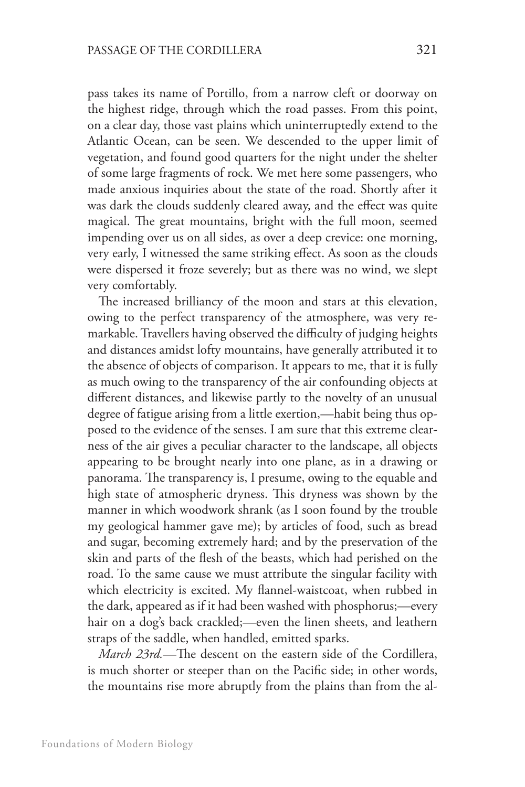pass takes its name of Portillo, from a narrow cleft or doorway on the highest ridge, through which the road passes. From this point, on a clear day, those vast plains which uninterruptedly extend to the Atlantic Ocean, can be seen. We descended to the upper limit of vegetation, and found good quarters for the night under the shelter of some large fragments of rock. We met here some passengers, who made anxious inquiries about the state of the road. Shortly after it was dark the clouds suddenly cleared away, and the effect was quite magical. The great mountains, bright with the full moon, seemed impending over us on all sides, as over a deep crevice: one morning, very early, I witnessed the same striking effect. As soon as the clouds were dispersed it froze severely; but as there was no wind, we slept very comfortably.

The increased brilliancy of the moon and stars at this elevation, owing to the perfect transparency of the atmosphere, was very remarkable. Travellers having observed the difficulty of judging heights and distances amidst lofty mountains, have generally attributed it to the absence of objects of comparison. It appears to me, that it is fully as much owing to the transparency of the air confounding objects at different distances, and likewise partly to the novelty of an unusual degree of fatigue arising from a little exertion,—habit being thus opposed to the evidence of the senses. I am sure that this extreme clearness of the air gives a peculiar character to the landscape, all objects appearing to be brought nearly into one plane, as in a drawing or panorama. The transparency is, I presume, owing to the equable and high state of atmospheric dryness. This dryness was shown by the manner in which woodwork shrank (as I soon found by the trouble my geological hammer gave me); by articles of food, such as bread and sugar, becoming extremely hard; and by the preservation of the skin and parts of the flesh of the beasts, which had perished on the road. To the same cause we must attribute the singular facility with which electricity is excited. My flannel-waistcoat, when rubbed in the dark, appeared as if it had been washed with phosphorus;—every hair on a dog's back crackled;—even the linen sheets, and leathern straps of the saddle, when handled, emitted sparks.

*March 23rd.*—The descent on the eastern side of the Cordillera, is much shorter or steeper than on the Pacific side; in other words, the mountains rise more abruptly from the plains than from the al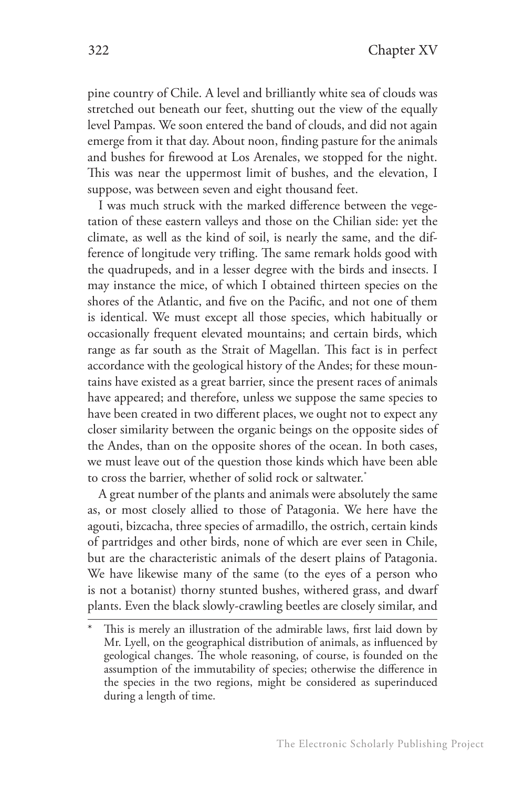pine country of Chile. A level and brilliantly white sea of clouds was stretched out beneath our feet, shutting out the view of the equally level Pampas. We soon entered the band of clouds, and did not again emerge from it that day. About noon, finding pasture for the animals and bushes for firewood at Los Arenales, we stopped for the night. This was near the uppermost limit of bushes, and the elevation, I suppose, was between seven and eight thousand feet.

I was much struck with the marked difference between the vegetation of these eastern valleys and those on the Chilian side: yet the climate, as well as the kind of soil, is nearly the same, and the difference of longitude very trifling. The same remark holds good with the quadrupeds, and in a lesser degree with the birds and insects. I may instance the mice, of which I obtained thirteen species on the shores of the Atlantic, and five on the Pacific, and not one of them is identical. We must except all those species, which habitually or occasionally frequent elevated mountains; and certain birds, which range as far south as the Strait of Magellan. This fact is in perfect accordance with the geological history of the Andes; for these mountains have existed as a great barrier, since the present races of animals have appeared; and therefore, unless we suppose the same species to have been created in two different places, we ought not to expect any closer similarity between the organic beings on the opposite sides of the Andes, than on the opposite shores of the ocean. In both cases, we must leave out of the question those kinds which have been able to cross the barrier, whether of solid rock or saltwater.\*

A great number of the plants and animals were absolutely the same as, or most closely allied to those of Patagonia. We here have the agouti, bizcacha, three species of armadillo, the ostrich, certain kinds of partridges and other birds, none of which are ever seen in Chile, but are the characteristic animals of the desert plains of Patagonia. We have likewise many of the same (to the eyes of a person who is not a botanist) thorny stunted bushes, withered grass, and dwarf plants. Even the black slowly-crawling beetles are closely similar, and

This is merely an illustration of the admirable laws, first laid down by Mr. Lyell, on the geographical distribution of animals, as influenced by geological changes. The whole reasoning, of course, is founded on the assumption of the immutability of species; otherwise the difference in the species in the two regions, might be considered as superinduced during a length of time.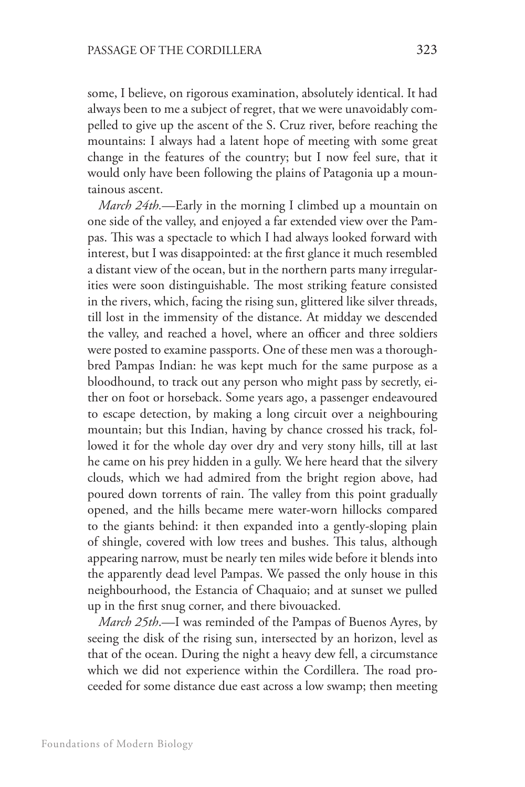some, I believe, on rigorous examination, absolutely identical. It had always been to me a subject of regret, that we were unavoidably compelled to give up the ascent of the S. Cruz river, before reaching the mountains: I always had a latent hope of meeting with some great change in the features of the country; but I now feel sure, that it would only have been following the plains of Patagonia up a mountainous ascent.

*March 24th.*—Early in the morning I climbed up a mountain on one side of the valley, and enjoyed a far extended view over the Pampas. This was a spectacle to which I had always looked forward with interest, but I was disappointed: at the first glance it much resembled a distant view of the ocean, but in the northern parts many irregularities were soon distinguishable. The most striking feature consisted in the rivers, which, facing the rising sun, glittered like silver threads, till lost in the immensity of the distance. At midday we descended the valley, and reached a hovel, where an officer and three soldiers were posted to examine passports. One of these men was a thoroughbred Pampas Indian: he was kept much for the same purpose as a bloodhound, to track out any person who might pass by secretly, either on foot or horseback. Some years ago, a passenger endeavoured to escape detection, by making a long circuit over a neighbouring mountain; but this Indian, having by chance crossed his track, followed it for the whole day over dry and very stony hills, till at last he came on his prey hidden in a gully. We here heard that the silvery clouds, which we had admired from the bright region above, had poured down torrents of rain. The valley from this point gradually opened, and the hills became mere water-worn hillocks compared to the giants behind: it then expanded into a gently-sloping plain of shingle, covered with low trees and bushes. This talus, although appearing narrow, must be nearly ten miles wide before it blends into the apparently dead level Pampas. We passed the only house in this neighbourhood, the Estancia of Chaquaio; and at sunset we pulled up in the first snug corner, and there bivouacked.

*March 25th*.—I was reminded of the Pampas of Buenos Ayres, by seeing the disk of the rising sun, intersected by an horizon, level as that of the ocean. During the night a heavy dew fell, a circumstance which we did not experience within the Cordillera. The road proceeded for some distance due east across a low swamp; then meeting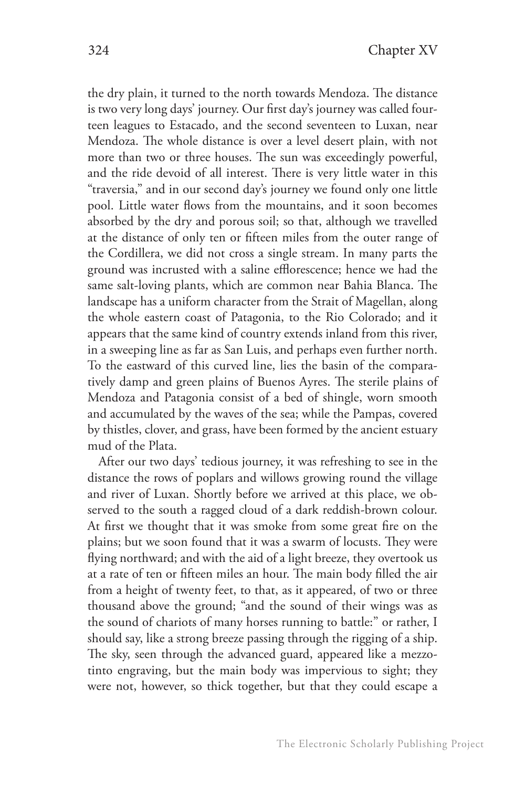the dry plain, it turned to the north towards Mendoza. The distance is two very long days' journey. Our first day's journey was called fourteen leagues to Estacado, and the second seventeen to Luxan, near Mendoza. The whole distance is over a level desert plain, with not more than two or three houses. The sun was exceedingly powerful, and the ride devoid of all interest. There is very little water in this "traversia," and in our second day's journey we found only one little pool. Little water flows from the mountains, and it soon becomes absorbed by the dry and porous soil; so that, although we travelled at the distance of only ten or fifteen miles from the outer range of the Cordillera, we did not cross a single stream. In many parts the ground was incrusted with a saline efflorescence; hence we had the same salt-loving plants, which are common near Bahia Blanca. The landscape has a uniform character from the Strait of Magellan, along the whole eastern coast of Patagonia, to the Rio Colorado; and it appears that the same kind of country extends inland from this river, in a sweeping line as far as San Luis, and perhaps even further north. To the eastward of this curved line, lies the basin of the comparatively damp and green plains of Buenos Ayres. The sterile plains of Mendoza and Patagonia consist of a bed of shingle, worn smooth and accumulated by the waves of the sea; while the Pampas, covered by thistles, clover, and grass, have been formed by the ancient estuary mud of the Plata.

After our two days' tedious journey, it was refreshing to see in the distance the rows of poplars and willows growing round the village and river of Luxan. Shortly before we arrived at this place, we observed to the south a ragged cloud of a dark reddish-brown colour. At first we thought that it was smoke from some great fire on the plains; but we soon found that it was a swarm of locusts. They were flying northward; and with the aid of a light breeze, they overtook us at a rate of ten or fifteen miles an hour. The main body filled the air from a height of twenty feet, to that, as it appeared, of two or three thousand above the ground; "and the sound of their wings was as the sound of chariots of many horses running to battle:" or rather, I should say, like a strong breeze passing through the rigging of a ship. The sky, seen through the advanced guard, appeared like a mezzotinto engraving, but the main body was impervious to sight; they were not, however, so thick together, but that they could escape a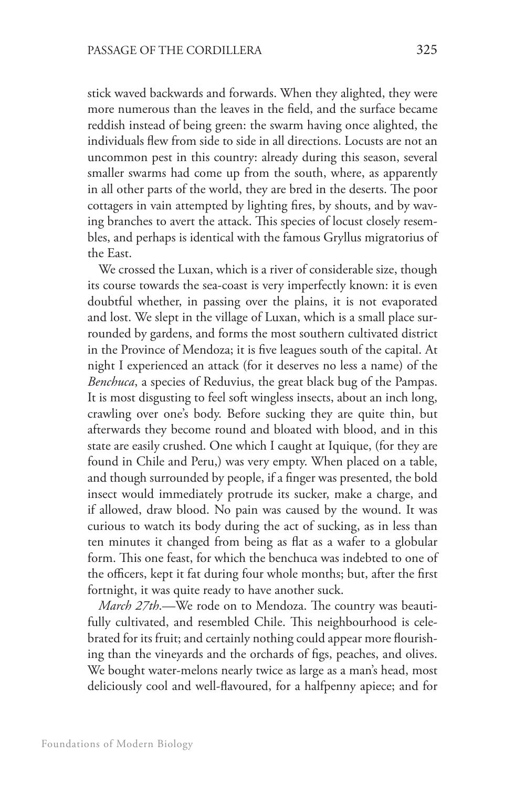stick waved backwards and forwards. When they alighted, they were more numerous than the leaves in the field, and the surface became reddish instead of being green: the swarm having once alighted, the individuals flew from side to side in all directions. Locusts are not an uncommon pest in this country: already during this season, several smaller swarms had come up from the south, where, as apparently in all other parts of the world, they are bred in the deserts. The poor cottagers in vain attempted by lighting fires, by shouts, and by waving branches to avert the attack. This species of locust closely resembles, and perhaps is identical with the famous Gryllus migratorius of the East.

We crossed the Luxan, which is a river of considerable size, though its course towards the sea-coast is very imperfectly known: it is even doubtful whether, in passing over the plains, it is not evaporated and lost. We slept in the village of Luxan, which is a small place surrounded by gardens, and forms the most southern cultivated district in the Province of Mendoza; it is five leagues south of the capital. At night I experienced an attack (for it deserves no less a name) of the *Benchuca*, a species of Reduvius, the great black bug of the Pampas. It is most disgusting to feel soft wingless insects, about an inch long, crawling over one's body. Before sucking they are quite thin, but afterwards they become round and bloated with blood, and in this state are easily crushed. One which I caught at Iquique, (for they are found in Chile and Peru,) was very empty. When placed on a table, and though surrounded by people, if a finger was presented, the bold insect would immediately protrude its sucker, make a charge, and if allowed, draw blood. No pain was caused by the wound. It was curious to watch its body during the act of sucking, as in less than ten minutes it changed from being as flat as a wafer to a globular form. This one feast, for which the benchuca was indebted to one of the officers, kept it fat during four whole months; but, after the first fortnight, it was quite ready to have another suck.

*March 27th*.—We rode on to Mendoza. The country was beautifully cultivated, and resembled Chile. This neighbourhood is celebrated for its fruit; and certainly nothing could appear more flourishing than the vineyards and the orchards of figs, peaches, and olives. We bought water-melons nearly twice as large as a man's head, most deliciously cool and well-flavoured, for a halfpenny apiece; and for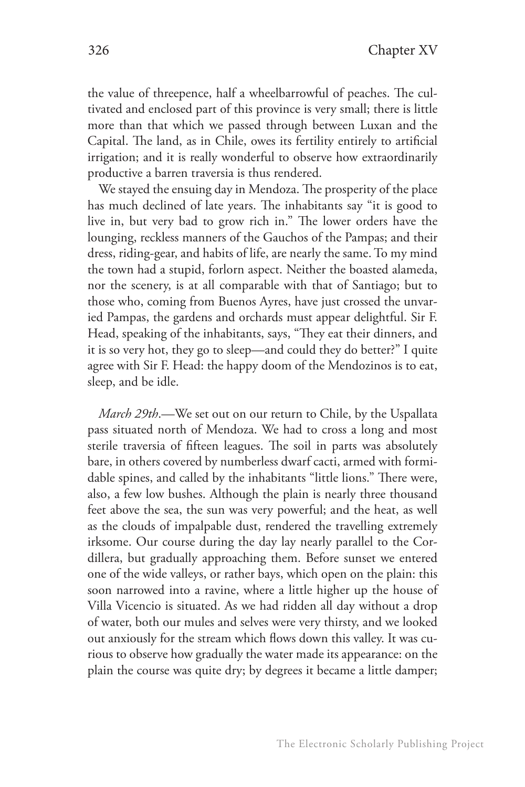the value of threepence, half a wheelbarrowful of peaches. The cultivated and enclosed part of this province is very small; there is little more than that which we passed through between Luxan and the Capital. The land, as in Chile, owes its fertility entirely to artificial irrigation; and it is really wonderful to observe how extraordinarily productive a barren traversia is thus rendered.

We stayed the ensuing day in Mendoza. The prosperity of the place has much declined of late years. The inhabitants say "it is good to live in, but very bad to grow rich in." The lower orders have the lounging, reckless manners of the Gauchos of the Pampas; and their dress, riding-gear, and habits of life, are nearly the same. To my mind the town had a stupid, forlorn aspect. Neither the boasted alameda, nor the scenery, is at all comparable with that of Santiago; but to those who, coming from Buenos Ayres, have just crossed the unvaried Pampas, the gardens and orchards must appear delightful. Sir F. Head, speaking of the inhabitants, says, "They eat their dinners, and it is so very hot, they go to sleep—and could they do better?" I quite agree with Sir F. Head: the happy doom of the Mendozinos is to eat, sleep, and be idle.

*March 29th*.—We set out on our return to Chile, by the Uspallata pass situated north of Mendoza. We had to cross a long and most sterile traversia of fifteen leagues. The soil in parts was absolutely bare, in others covered by numberless dwarf cacti, armed with formidable spines, and called by the inhabitants "little lions." There were, also, a few low bushes. Although the plain is nearly three thousand feet above the sea, the sun was very powerful; and the heat, as well as the clouds of impalpable dust, rendered the travelling extremely irksome. Our course during the day lay nearly parallel to the Cordillera, but gradually approaching them. Before sunset we entered one of the wide valleys, or rather bays, which open on the plain: this soon narrowed into a ravine, where a little higher up the house of Villa Vicencio is situated. As we had ridden all day without a drop of water, both our mules and selves were very thirsty, and we looked out anxiously for the stream which flows down this valley. It was curious to observe how gradually the water made its appearance: on the plain the course was quite dry; by degrees it became a little damper;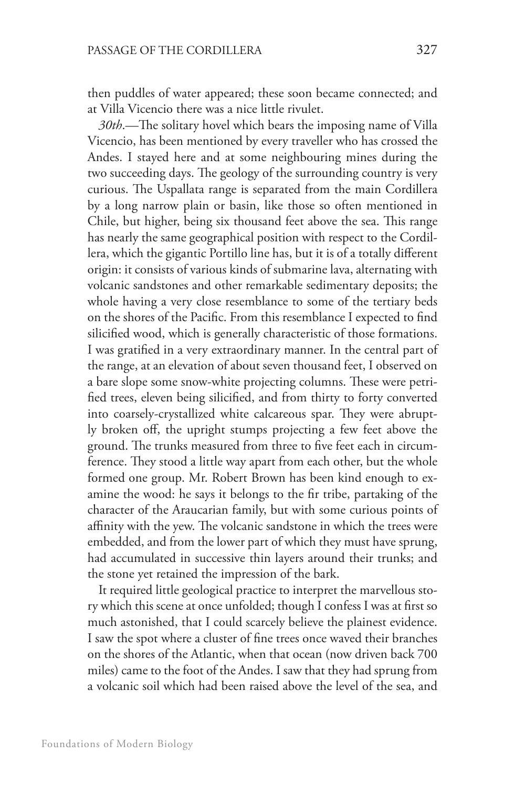then puddles of water appeared; these soon became connected; and at Villa Vicencio there was a nice little rivulet.

*30th*.—The solitary hovel which bears the imposing name of Villa Vicencio, has been mentioned by every traveller who has crossed the Andes. I stayed here and at some neighbouring mines during the two succeeding days. The geology of the surrounding country is very curious. The Uspallata range is separated from the main Cordillera by a long narrow plain or basin, like those so often mentioned in Chile, but higher, being six thousand feet above the sea. This range has nearly the same geographical position with respect to the Cordillera, which the gigantic Portillo line has, but it is of a totally different origin: it consists of various kinds of submarine lava, alternating with volcanic sandstones and other remarkable sedimentary deposits; the whole having a very close resemblance to some of the tertiary beds on the shores of the Pacific. From this resemblance I expected to find silicified wood, which is generally characteristic of those formations. I was gratified in a very extraordinary manner. In the central part of the range, at an elevation of about seven thousand feet, I observed on a bare slope some snow-white projecting columns. These were petrified trees, eleven being silicified, and from thirty to forty converted into coarsely-crystallized white calcareous spar. They were abruptly broken off, the upright stumps projecting a few feet above the ground. The trunks measured from three to five feet each in circumference. They stood a little way apart from each other, but the whole formed one group. Mr. Robert Brown has been kind enough to examine the wood: he says it belongs to the fir tribe, partaking of the character of the Araucarian family, but with some curious points of affinity with the yew. The volcanic sandstone in which the trees were embedded, and from the lower part of which they must have sprung, had accumulated in successive thin layers around their trunks; and the stone yet retained the impression of the bark.

It required little geological practice to interpret the marvellous story which this scene at once unfolded; though I confess I was at first so much astonished, that I could scarcely believe the plainest evidence. I saw the spot where a cluster of fine trees once waved their branches on the shores of the Atlantic, when that ocean (now driven back 700 miles) came to the foot of the Andes. I saw that they had sprung from a volcanic soil which had been raised above the level of the sea, and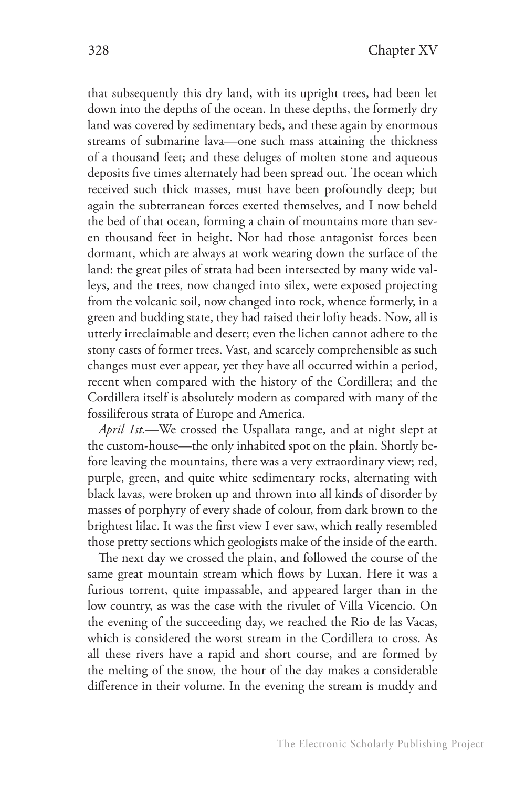that subsequently this dry land, with its upright trees, had been let down into the depths of the ocean. In these depths, the formerly dry land was covered by sedimentary beds, and these again by enormous streams of submarine lava—one such mass attaining the thickness of a thousand feet; and these deluges of molten stone and aqueous deposits five times alternately had been spread out. The ocean which received such thick masses, must have been profoundly deep; but again the subterranean forces exerted themselves, and I now beheld the bed of that ocean, forming a chain of mountains more than seven thousand feet in height. Nor had those antagonist forces been dormant, which are always at work wearing down the surface of the land: the great piles of strata had been intersected by many wide valleys, and the trees, now changed into silex, were exposed projecting from the volcanic soil, now changed into rock, whence formerly, in a green and budding state, they had raised their lofty heads. Now, all is utterly irreclaimable and desert; even the lichen cannot adhere to the stony casts of former trees. Vast, and scarcely comprehensible as such changes must ever appear, yet they have all occurred within a period, recent when compared with the history of the Cordillera; and the Cordillera itself is absolutely modern as compared with many of the fossiliferous strata of Europe and America.

*April 1st.*—We crossed the Uspallata range, and at night slept at the custom-house—the only inhabited spot on the plain. Shortly before leaving the mountains, there was a very extraordinary view; red, purple, green, and quite white sedimentary rocks, alternating with black lavas, were broken up and thrown into all kinds of disorder by masses of porphyry of every shade of colour, from dark brown to the brightest lilac. It was the first view I ever saw, which really resembled those pretty sections which geologists make of the inside of the earth.

The next day we crossed the plain, and followed the course of the same great mountain stream which flows by Luxan. Here it was a furious torrent, quite impassable, and appeared larger than in the low country, as was the case with the rivulet of Villa Vicencio. On the evening of the succeeding day, we reached the Rio de las Vacas, which is considered the worst stream in the Cordillera to cross. As all these rivers have a rapid and short course, and are formed by the melting of the snow, the hour of the day makes a considerable difference in their volume. In the evening the stream is muddy and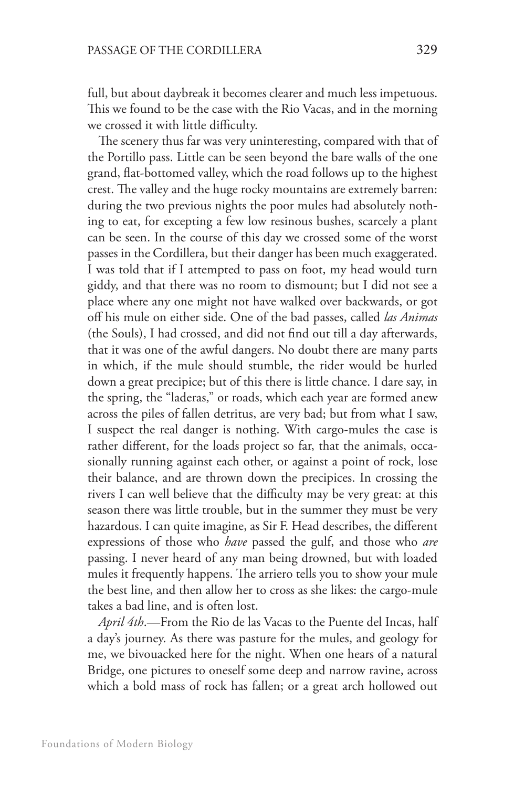full, but about daybreak it becomes clearer and much less impetuous. This we found to be the case with the Rio Vacas, and in the morning we crossed it with little difficulty.

The scenery thus far was very uninteresting, compared with that of the Portillo pass. Little can be seen beyond the bare walls of the one grand, flat-bottomed valley, which the road follows up to the highest crest. The valley and the huge rocky mountains are extremely barren: during the two previous nights the poor mules had absolutely nothing to eat, for excepting a few low resinous bushes, scarcely a plant can be seen. In the course of this day we crossed some of the worst passes in the Cordillera, but their danger has been much exaggerated. I was told that if I attempted to pass on foot, my head would turn giddy, and that there was no room to dismount; but I did not see a place where any one might not have walked over backwards, or got off his mule on either side. One of the bad passes, called *las Animas*  (the Souls), I had crossed, and did not find out till a day afterwards, that it was one of the awful dangers. No doubt there are many parts in which, if the mule should stumble, the rider would be hurled down a great precipice; but of this there is little chance. I dare say, in the spring, the "laderas," or roads, which each year are formed anew across the piles of fallen detritus, are very bad; but from what I saw, I suspect the real danger is nothing. With cargo-mules the case is rather different, for the loads project so far, that the animals, occasionally running against each other, or against a point of rock, lose their balance, and are thrown down the precipices. In crossing the rivers I can well believe that the difficulty may be very great: at this season there was little trouble, but in the summer they must be very hazardous. I can quite imagine, as Sir F. Head describes, the different expressions of those who *have* passed the gulf, and those who *are*  passing. I never heard of any man being drowned, but with loaded mules it frequently happens. The arriero tells you to show your mule the best line, and then allow her to cross as she likes: the cargo-mule takes a bad line, and is often lost.

*April 4th*.—From the Rio de las Vacas to the Puente del Incas, half a day's journey. As there was pasture for the mules, and geology for me, we bivouacked here for the night. When one hears of a natural Bridge, one pictures to oneself some deep and narrow ravine, across which a bold mass of rock has fallen; or a great arch hollowed out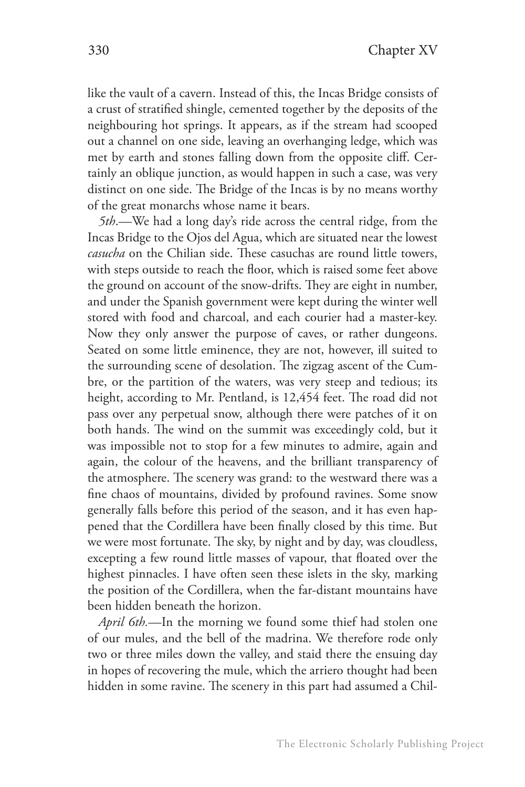like the vault of a cavern. Instead of this, the Incas Bridge consists of a crust of stratified shingle, cemented together by the deposits of the neighbouring hot springs. It appears, as if the stream had scooped out a channel on one side, leaving an overhanging ledge, which was met by earth and stones falling down from the opposite cliff. Certainly an oblique junction, as would happen in such a case, was very distinct on one side. The Bridge of the Incas is by no means worthy of the great monarchs whose name it bears.

*5th*.—We had a long day's ride across the central ridge, from the Incas Bridge to the Ojos del Agua, which are situated near the lowest *casucha* on the Chilian side. These casuchas are round little towers, with steps outside to reach the floor, which is raised some feet above the ground on account of the snow-drifts. They are eight in number, and under the Spanish government were kept during the winter well stored with food and charcoal, and each courier had a master-key. Now they only answer the purpose of caves, or rather dungeons. Seated on some little eminence, they are not, however, ill suited to the surrounding scene of desolation. The zigzag ascent of the Cumbre, or the partition of the waters, was very steep and tedious; its height, according to Mr. Pentland, is 12,454 feet. The road did not pass over any perpetual snow, although there were patches of it on both hands. The wind on the summit was exceedingly cold, but it was impossible not to stop for a few minutes to admire, again and again, the colour of the heavens, and the brilliant transparency of the atmosphere. The scenery was grand: to the westward there was a fine chaos of mountains, divided by profound ravines. Some snow generally falls before this period of the season, and it has even happened that the Cordillera have been finally closed by this time. But we were most fortunate. The sky, by night and by day, was cloudless, excepting a few round little masses of vapour, that floated over the highest pinnacles. I have often seen these islets in the sky, marking the position of the Cordillera, when the far-distant mountains have been hidden beneath the horizon.

*April 6th.*—In the morning we found some thief had stolen one of our mules, and the bell of the madrina. We therefore rode only two or three miles down the valley, and staid there the ensuing day in hopes of recovering the mule, which the arriero thought had been hidden in some ravine. The scenery in this part had assumed a Chil